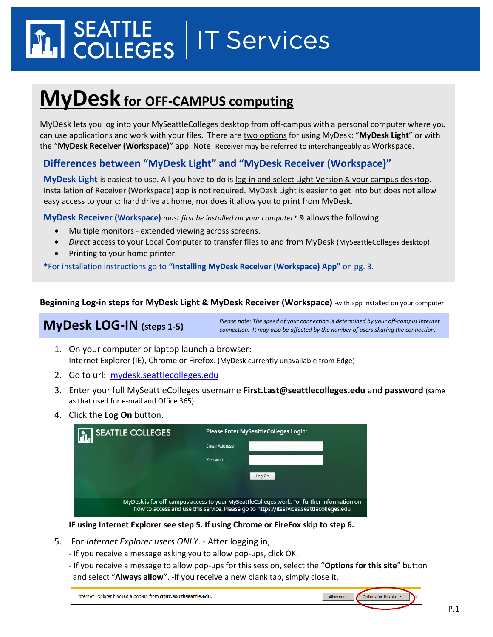# SEATTLE<br>COLLEGES | IT Services

## **MyDesk for OFF-CAMPUS computing**

MyDesk lets you log into your MySeattleColleges desktop from off-campus with a personal computer where you can use applications and work with your files. There are two options for using MyDesk: "**MyDesk Light**" or with the "**MyDesk Receiver (Workspace)**" app. Note: Receiver may be referred to interchangeably as Workspace.

#### **Differences between "MyDesk Light" and "MyDesk Receiver (Workspace)"**

**MyDesk Light** is easiest to use. All you have to do is log-in and select Light Version & your campus desktop. Installation of Receiver (Workspace) app is not required. MyDesk Light is easier to get into but does not allow easy access to your c: hard drive at home, nor does it allow you to print from MyDesk.

**MyDesk Receiver (Workspace)** *must first be installed on your computer\** & allows the following:

- Multiple monitors extended viewing across screens.
- *Direct* access to your Local Computer to transfer files to and from MyDesk (MySeattleColleges desktop).
- **Printing to your home printer.**

**\***For installation instructions go to **"Installing MyDesk Receiver (Workspace) App"** on pg. 3.

**Beginning Log-in steps for MyDesk Light & MyDesk Receiver (Workspace)** -with app installed on your computer

#### **MyDesk LOG-IN (steps 1-5)**

*Please note: The speed of your connection is determined by your off-campus internet connection. It may also be affected by the number of users sharing the connection.*

- 1. On your computer or laptop launch a browser: Internet Explorer (IE), Chrome or Firefox. (MyDesk currently unavailable from Edge)
- 2. Go to url: [mydesk.seattlecolleges.edu](file://///S-C-FS00/SChomes/U980087209/!DORALINN/!!PrimaryUse_Win7upgrdSum13/!Documentation%20Life%20Cycle%20Team/MyDesk/mydesk.seattlecolleges.edu)
- 3. Enter your full MySeattleColleges username **First.Last@seattlecolleges.edu** and **password** (same as that used for e-mail and Office 365)
- 4. Click the **Log On** button.

| <b>SEATTLE COLLEGES</b> | Please Enter MySeattleColleges Login:                                                                                                                                                 |  |
|-------------------------|---------------------------------------------------------------------------------------------------------------------------------------------------------------------------------------|--|
|                         | <b>Email Address:</b>                                                                                                                                                                 |  |
|                         | Password:                                                                                                                                                                             |  |
|                         | Log On                                                                                                                                                                                |  |
|                         |                                                                                                                                                                                       |  |
|                         | MyDesk is for off-campus access to your MySeattleColleges work. For further information on<br>how to access and use this service. Please go to https://itservices.seattlecolleges.edu |  |

#### **IF using Internet Explorer see step 5. If using Chrome or FireFox skip to step 6.**

- 5. For *Internet Explorer users ONLY*. After logging in,
	- If you receive a message asking you to allow pop-ups, click OK.
	- If you receive a message to allow pop-ups for this session, select the "**Options for this site**" button and select "**Always allow**". -If you receive a new blank tab, simply close it.

| Internet Explorer blocked a pop-up from citrix.southseattle.edu. | Allow once $\int$ Options for this site $\cdot$ $\cdot$ |
|------------------------------------------------------------------|---------------------------------------------------------|
|                                                                  |                                                         |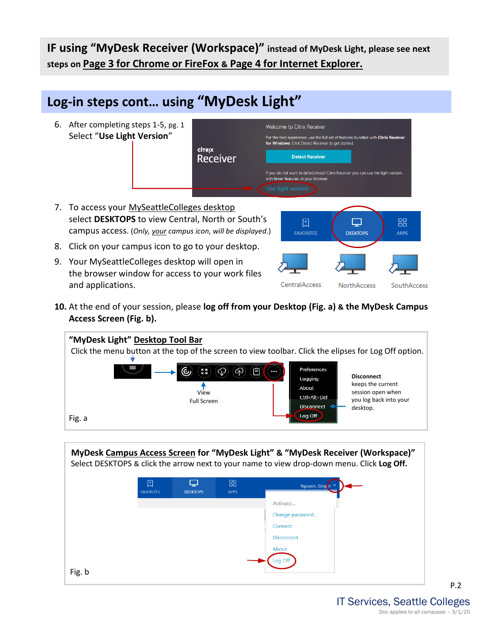**IF using "MyDesk Receiver (Workspace)" instead of MyDesk Light, please see next steps on Page 3 for Chrome or FireFox & Page 4 for Internet Explorer.**

### **Log-in steps cont… using "MyDesk Light"**



- 8. Click on your campus icon to go to your desktop.
- 9. Your MySeattleColleges desktop will open in the browser window for access to your work files and applications.



**10.** At the end of your session, please **log off from your Desktop (Fig. a) & the MyDesk Campus Access Screen (Fig. b).**



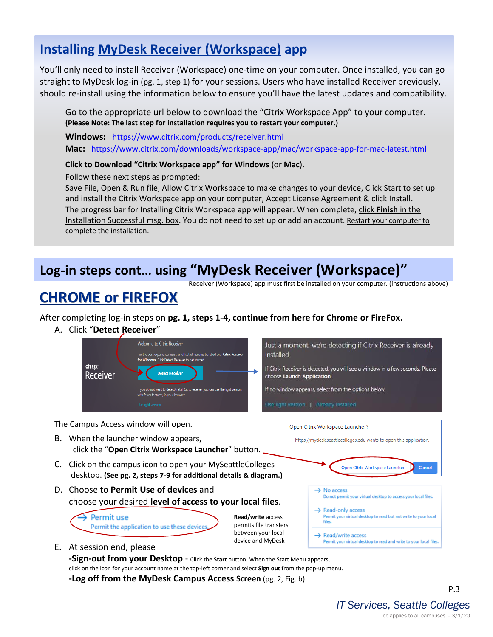#### **Installing MyDesk Receiver (Workspace) app**

You'll only need to install Receiver (Workspace) one-time on your computer. Once installed, you can go straight to MyDesk log-in (pg. 1, step 1) for your sessions. Users who have installed Receiver previously, should re-install using the information below to ensure you'll have the latest updates and compatibility.

Go to the appropriate url below to download the "Citrix Workspace App" to your computer. **(Please Note: The last step for installation requires you to restart your computer.)**

**Windows:** <https://www.citrix.com/products/receiver.html> **Mac:** <https://www.citrix.com/downloads/workspace-app/mac/workspace-app-for-mac-latest.html>

**Click to Download "Citrix Workspace app" for Windows** (or **Mac**).

Follow these next steps as prompted:

Save File, Open & Run file, Allow Citrix Workspace to make changes to your device, Click Start to set up and install the Citrix Workspace app on your computer, Accept License Agreement & click Install. The progress bar for Installing Citrix Workspace app will appear. When complete, click **Finish** in the Installation Successful msg. box. You do not need to set up or add an account. Restart your computer to complete the installation.

## **Log-in steps cont… using "MyDesk Receiver (Workspace)"**

Receiver (Workspace) app must first be installed on your computer. (instructions above)

## **CHROME or FIREFOX**

After completing log-in steps on **pg. 1, steps 1-4, continue from here for Chrome or FireFox.**

A. Click "**Detect Receiver**"



**-Sign-out from your Desktop** - Click the **Start** button. When the Start Menu appears, click on the icon for your account name at the top-left corner and select **Sign out** from the pop-up menu. **-Log off from the MyDesk Campus Access Screen** (pg. 2, Fig. b)